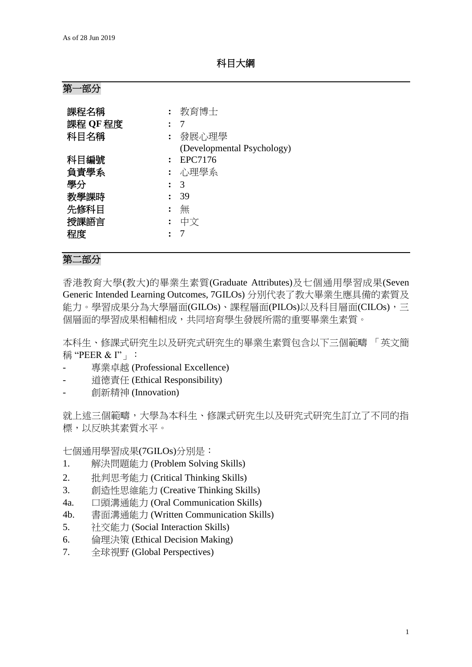科目大綱

# 第一部分

| 課程名稱     | 教育博士                       |
|----------|----------------------------|
| 課程 QF 程度 |                            |
| 科目名稱     | 發展心理學                      |
|          | (Developmental Psychology) |
| 科目編號     | EPC7176                    |
| 負責學系     | 心理學系                       |
| 學分       | 3                          |
| 教學課時     | 39                         |
| 先修科目     | 無                          |
| 授課語言     | 中文                         |
| 程度       |                            |

### 第二部分

香港教育大學(教大)的畢業生素質(Graduate Attributes)及七個通用學習成果(Seven Generic Intended Learning Outcomes, 7GILOs) 分別代表了教大畢業生應具備的素質及 能力。學習成果分為大學層面(GILOs)、課程層面(PILOs)以及科目層面(CILOs),三 個層面的學習成果相輔相成,共同培育學生發展所需的重要畢業生素質。

本科生、修課式研究生以及研究式研究生的畢業生素質包含以下三個範疇 「英文簡 稱 "PEER & I"」:

- 專業卓越 (Professional Excellence)
- 道德責任 (Ethical Responsibility)
- 創新精神 (Innovation)

就上述三個範疇,大學為本科生、修課式研究生以及研究式研究生訂立了不同的指 標,以反映其素質水平。

七個通用學習成果(7GILOs)分別是:

- 1. 解決問題能力 (Problem Solving Skills)
- 2. 批判思考能力 (Critical Thinking Skills)
- 3. 創造性思維能力 (Creative Thinking Skills)
- 4a. 口頭溝通能力 (Oral Communication Skills)
- 4b. 書面溝通能力 (Written Communication Skills)
- 5. 社交能力 (Social Interaction Skills)
- 6. 倫理決策 (Ethical Decision Making)
- 7. 全球視野 (Global Perspectives)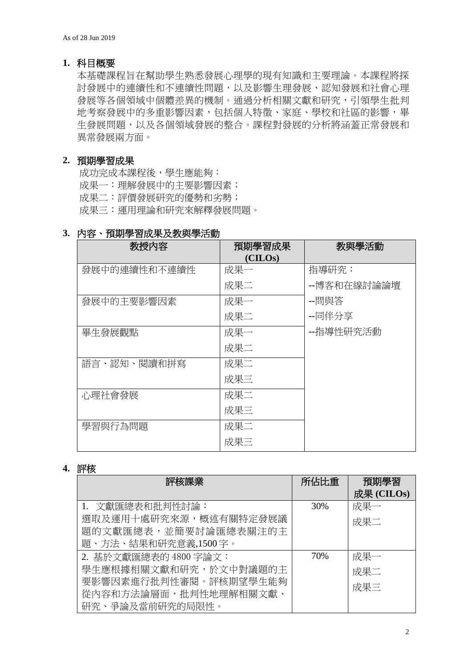### **1.** 科目概要

本基礎課程旨在幫助學生熟悉發展心理學的現有知識和主要理論。本課程將探 討發展中的連續性和不連續性問題,以及影響生理發展、認知發展和社會心理 發展等各個領域中個體差異的機制。通過分析相關文獻和研究,引領學生批判 地考察發展中的多重影響因素,包括個人特徵、家庭、學校和社區的影響,畢 生發展問題,以及各個領域發展的整合。課程對發展的分析將涵蓋正常發展和 異常發展兩方面。

### **2.** 預期學習成果

成功完成本課程後,學生應能夠: 成果一:理解發展中的主要影響因素; 成果二:評價發展研究的優勢和劣勢; 成果三:運用理論和研究來解釋發展問題。

### **3.** 內容、預期學習成果及教與學活動

| 教授内容         | 預期學習成果  | 教與學活動       |
|--------------|---------|-------------|
|              | (CHLOS) |             |
| 發展中的連續性和不連續性 | 成果一     | 指導研究:       |
|              | 成果二     | --博客和在線討論論壇 |
| 發展中的主要影響因素   | 成果一     | --問與答       |
|              | 成果二     | --同伴分享      |
| 畢生發展觀點       | 成果一     | --指導性研究活動   |
|              | 成果二     |             |
| 語言、認知、閱讀和拼寫  | 成果二     |             |
|              | 成果三     |             |
| 心理社會發展       | 成果二     |             |
|              | 成果三     |             |
| 學習與行為問題      | 成果二     |             |
|              | 成果三     |             |

# **4.** 評核

| 評核課業                  | 所佔比重 | 預期學習        |
|-----------------------|------|-------------|
|                       |      | 成果 $(CHOs)$ |
| 1. 文獻匯總表和批判性討論:       | 30%  | 成果一         |
| 選取及運用十處研究來源,概述有關特定發展議 |      | 成果二         |
| 題的文獻匯總表,並簡要討論匯總表關注的主  |      |             |
| 題、方法、結果和研究意義,1500字。   |      |             |
| 2. 基於文獻匯總表的 4800 字論文: | 70%  | 成果一         |
| 學生應根據相關文獻和研究,於文中對議題的主 |      | 成果二         |
| 要影響因素進行批判性審閱。評核期望學生能夠 |      | 成果三         |
| 從內容和方法論層面,批判性地理解相關文獻、 |      |             |
| 研究、爭論及當前研究的局限性。       |      |             |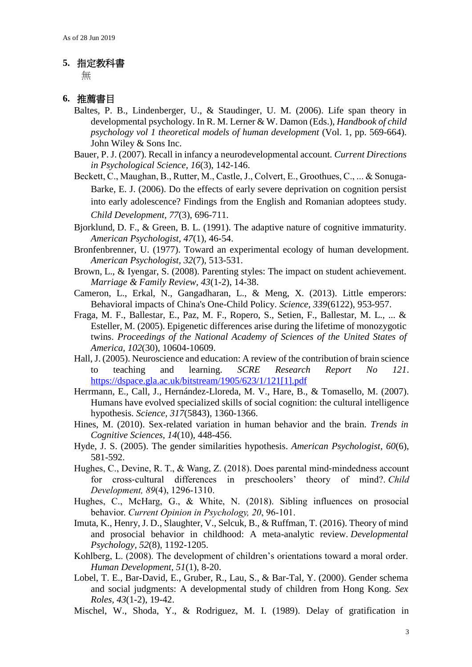#### **5.** 指定教科書

無

#### **6.** 推薦書目

- Baltes, P. B., Lindenberger, U., & Staudinger, U. M. (2006). Life span theory in developmental psychology. In R. M. Lerner & W. Damon (Eds.), *Handbook of child psychology vol 1 theoretical models of human development* (Vol. 1, pp. 569-664). John Wiley & Sons Inc.
- Bauer, P. J. (2007). Recall in infancy a neurodevelopmental account. *Current Directions in Psychological Science, 16*(3), 142-146.
- Beckett, C., Maughan, B., Rutter, M., Castle, J., Colvert, E., Groothues, C., ... & Sonuga-Barke, E. J. (2006). Do the effects of early severe deprivation on cognition persist into early adolescence? Findings from the English and Romanian adoptees study. *Child Development, 77*(3), 696-711.
- Bjorklund, D. F., & Green, B. L. (1991). The adaptive nature of cognitive immaturity. *American Psychologist, 47*(1), 46-54.
- Bronfenbrenner, U. (1977). Toward an experimental ecology of human development. *American Psychologist, 32*(7), 513-531.
- Brown, L., & Iyengar, S. (2008). Parenting styles: The impact on student achievement. *Marriage & Family Review, 43*(1-2), 14-38.
- Cameron, L., Erkal, N., Gangadharan, L., & Meng, X. (2013). Little emperors: Behavioral impacts of China's One-Child Policy. *Science, 339*(6122), 953-957.
- Fraga, M. F., Ballestar, E., Paz, M. F., Ropero, S., Setien, F., Ballestar, M. L., ... & Esteller, M. (2005). Epigenetic differences arise during the lifetime of monozygotic twins. *Proceedings of the National Academy of Sciences of the United States of America, 102*(30), 10604-10609.
- Hall, J. (2005). Neuroscience and education: A review of the contribution of brain science to teaching and learning. *SCRE Research Report No 121*. [https://dspace.gla.ac.uk/bitstream/1905/623/1/121\[1\].pdf](https://dspace.gla.ac.uk/bitstream/1905/623/1/121%5b1%5d.pdf)
- Herrmann, E., Call, J., Hernández-Lloreda, M. V., Hare, B., & Tomasello, M. (2007). Humans have evolved specialized skills of social cognition: the cultural intelligence hypothesis. *Science, 317*(5843), 1360-1366.
- Hines, M. (2010). Sex-related variation in human behavior and the brain. *Trends in Cognitive Sciences, 14*(10), 448-456.
- Hyde, J. S. (2005). The gender similarities hypothesis. *American Psychologist, 60*(6), 581-592.
- Hughes, C., Devine, R. T., & Wang, Z. (2018). Does parental mind‐mindedness account for cross-cultural differences in preschoolers' theory of mind?. *Child Development, 89*(4), 1296-1310.
- Hughes, C., McHarg, G., & White, N. (2018). Sibling influences on prosocial behavior. *Current Opinion in Psychology, 20*, 96-101.
- Imuta, K., Henry, J. D., Slaughter, V., Selcuk, B., & Ruffman, T. (2016). Theory of mind and prosocial behavior in childhood: A meta-analytic review. *Developmental Psychology, 52*(8), 1192-1205.
- Kohlberg, L. (2008). The development of children's orientations toward a moral order. *Human Development, 51*(1), 8-20.
- Lobel, T. E., Bar-David, E., Gruber, R., Lau, S., & Bar-Tal, Y. (2000). Gender schema and social judgments: A developmental study of children from Hong Kong. *Sex Roles, 43*(1-2), 19-42.
- Mischel, W., Shoda, Y., & Rodriguez, M. I. (1989). Delay of gratification in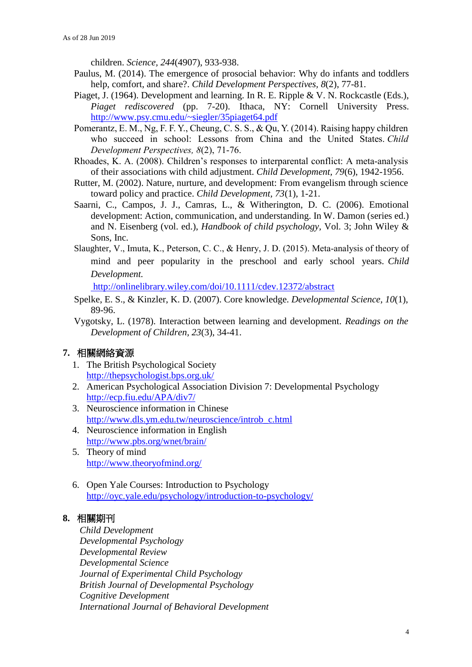children. *Science, 244*(4907), 933-938.

- Paulus, M. (2014). The emergence of prosocial behavior: Why do infants and toddlers help, comfort, and share?. *Child Development Perspectives, 8*(2), 77-81.
- Piaget, J. (1964). Development and learning. In R. E. Ripple & V. N. Rockcastle (Eds.), *Piaget rediscovered* (pp. 7-20). Ithaca, NY: Cornell University Press. <http://www.psy.cmu.edu/~siegler/35piaget64.pdf>
- Pomerantz, E. M., Ng, F. F. Y., Cheung, C. S. S., & Qu, Y. (2014). Raising happy children who succeed in school: Lessons from China and the United States. *Child Development Perspectives, 8*(2), 71-76.
- Rhoades, K. A. (2008). Children's responses to interparental conflict: A meta‐analysis of their associations with child adjustment. *Child Development, 79*(6), 1942-1956.
- Rutter, M. (2002). Nature, nurture, and development: From evangelism through science toward policy and practice. *Child Development, 73*(1), 1-21.
- Saarni, C., Campos, J. J., Camras, L., & Witherington, D. C. (2006). Emotional development: Action, communication, and understanding. In W. Damon (series ed.) and N. Eisenberg (vol. ed.), *Handbook of child psychology,* Vol. 3; John Wiley & Sons, Inc.
- Slaughter, V., Imuta, K., Peterson, C. C., & Henry, J. D. (2015). Meta-analysis of theory of mind and peer popularity in the preschool and early school years. *Child Development.*

<http://onlinelibrary.wiley.com/doi/10.1111/cdev.12372/abstract>

- Spelke, E. S., & Kinzler, K. D. (2007). Core knowledge. *Developmental Science, 10*(1), 89-96.
- Vygotsky, L. (1978). Interaction between learning and development. *Readings on the Development of Children, 23*(3), 34-41.

# **7.** 相關網絡資源

- 1. The British Psychological Society <http://thepsychologist.bps.org.uk/>
- 2. American Psychological Association Division 7: Developmental Psychology <http://ecp.fiu.edu/APA/div7/>
- 3. Neuroscience information in Chinese [http://www.dls.ym.edu.tw/neuroscience/introb\\_c.html](http://www.dls.ym.edu.tw/neuroscience/introb_c.html)
- 4. Neuroscience information in English <http://www.pbs.org/wnet/brain/>
- 5. Theory of mind <http://www.theoryofmind.org/>
- 6. Open Yale Courses: Introduction to Psychology <http://oyc.yale.edu/psychology/introduction-to-psychology/>

## **8.** 相關期刊

*Child Development Developmental Psychology Developmental Review Developmental Science Journal of Experimental Child Psychology British Journal of Developmental Psychology Cognitive Development International Journal of Behavioral Development*